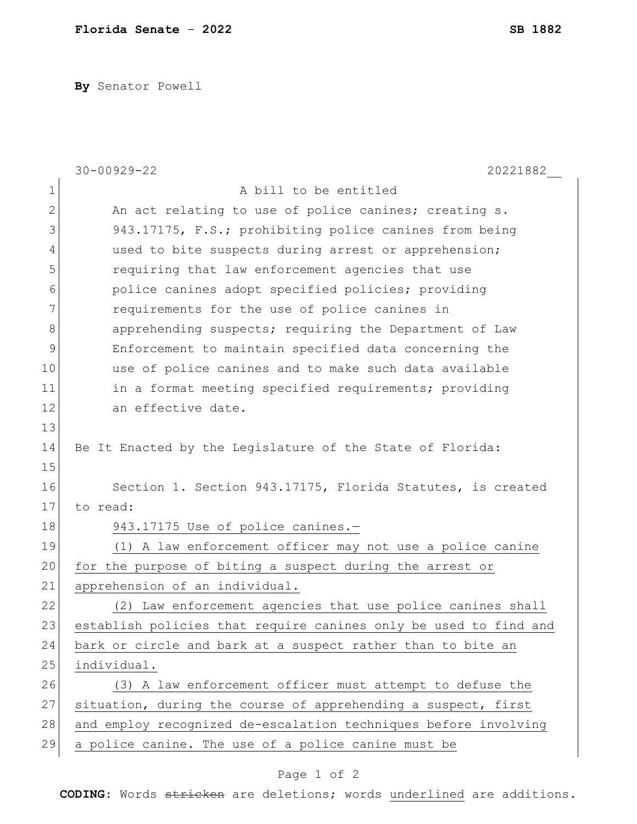**By** Senator Powell

|    | $30 - 00929 - 22$<br>20221882                                    |
|----|------------------------------------------------------------------|
| 1  | A bill to be entitled                                            |
| 2  | An act relating to use of police canines; creating s.            |
| 3  | 943.17175, F.S.; prohibiting police canines from being           |
| 4  | used to bite suspects during arrest or apprehension;             |
| 5  | requiring that law enforcement agencies that use                 |
| 6  | police canines adopt specified policies; providing               |
| 7  | requirements for the use of police canines in                    |
| 8  | apprehending suspects; requiring the Department of Law           |
| 9  | Enforcement to maintain specified data concerning the            |
| 10 | use of police canines and to make such data available            |
| 11 | in a format meeting specified requirements; providing            |
| 12 | an effective date.                                               |
| 13 |                                                                  |
| 14 | Be It Enacted by the Legislature of the State of Florida:        |
| 15 |                                                                  |
| 16 | Section 1. Section 943.17175, Florida Statutes, is created       |
| 17 | to read:                                                         |
| 18 | 943.17175 Use of police canines.-                                |
| 19 | (1) A law enforcement officer may not use a police canine        |
| 20 | for the purpose of biting a suspect during the arrest or         |
| 21 | apprehension of an individual.                                   |
| 22 | (2) Law enforcement agencies that use police canines shall       |
| 23 | establish policies that require canines only be used to find and |
| 24 | bark or circle and bark at a suspect rather than to bite an      |
| 25 | individual.                                                      |
| 26 | (3) A law enforcement officer must attempt to defuse the         |
| 27 | situation, during the course of apprehending a suspect, first    |
| 28 | and employ recognized de-escalation techniques before involving  |
| 29 | a police canine. The use of a police canine must be              |

## Page 1 of 2

**CODING**: Words stricken are deletions; words underlined are additions.